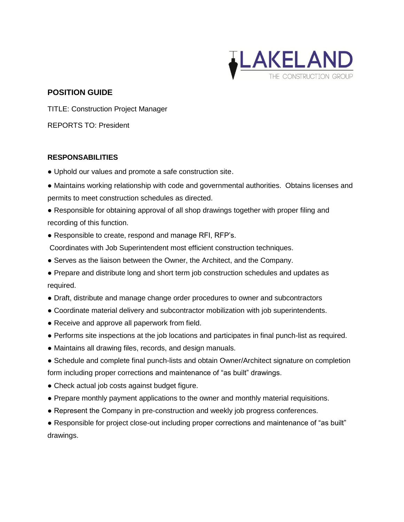

## **POSITION GUIDE**

TITLE: Construction Project Manager

REPORTS TO: President

## **RESPONSABILITIES**

- Uphold our values and promote a safe construction site.
- Maintains working relationship with code and governmental authorities. Obtains licenses and permits to meet construction schedules as directed.
- Responsible for obtaining approval of all shop drawings together with proper filing and recording of this function.
- Responsible to create, respond and manage RFI, RFP's.
- Coordinates with Job Superintendent most efficient construction techniques.
- Serves as the liaison between the Owner, the Architect, and the Company.
- Prepare and distribute long and short term job construction schedules and updates as required.
- Draft, distribute and manage change order procedures to owner and subcontractors
- Coordinate material delivery and subcontractor mobilization with job superintendents.
- Receive and approve all paperwork from field.
- Performs site inspections at the job locations and participates in final punch-list as required.
- Maintains all drawing files, records, and design manuals.
- Schedule and complete final punch-lists and obtain Owner/Architect signature on completion form including proper corrections and maintenance of "as built" drawings.
- Check actual job costs against budget figure.
- Prepare monthly payment applications to the owner and monthly material requisitions.
- Represent the Company in pre-construction and weekly job progress conferences.

• Responsible for project close-out including proper corrections and maintenance of "as built" drawings.